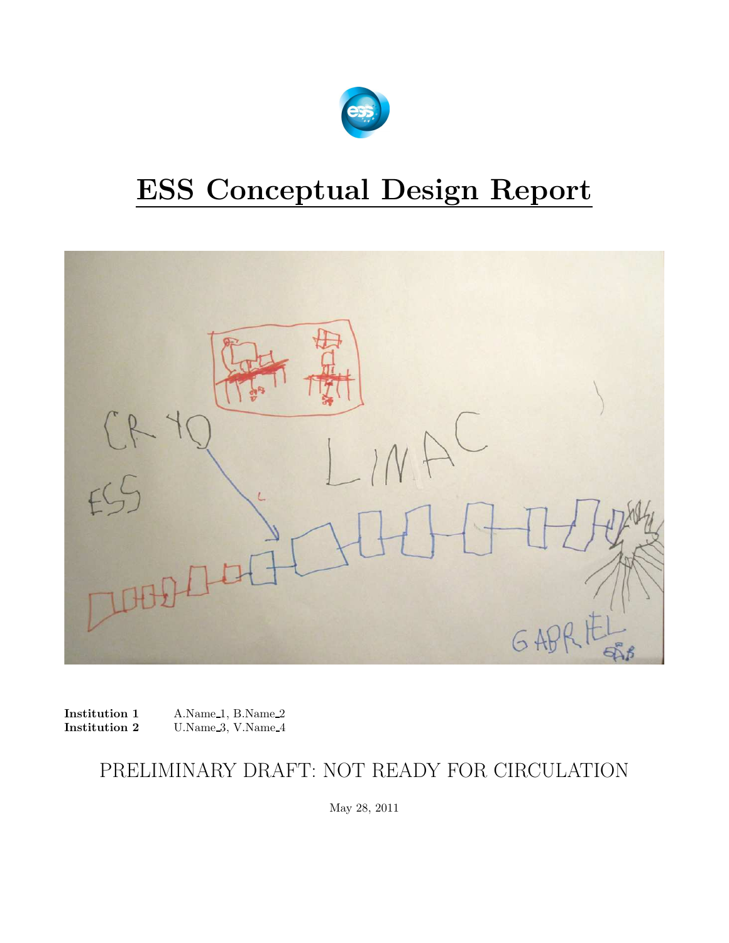

# ESS Conceptual Design Report



Institution 1 A.Name 1, B.Name 2<br>Institution 2 U.Name 3, V.Name 4 U.Name 3, V.Name 4

### PRELIMINARY DRAFT: NOT READY FOR CIRCULATION

May 28, 2011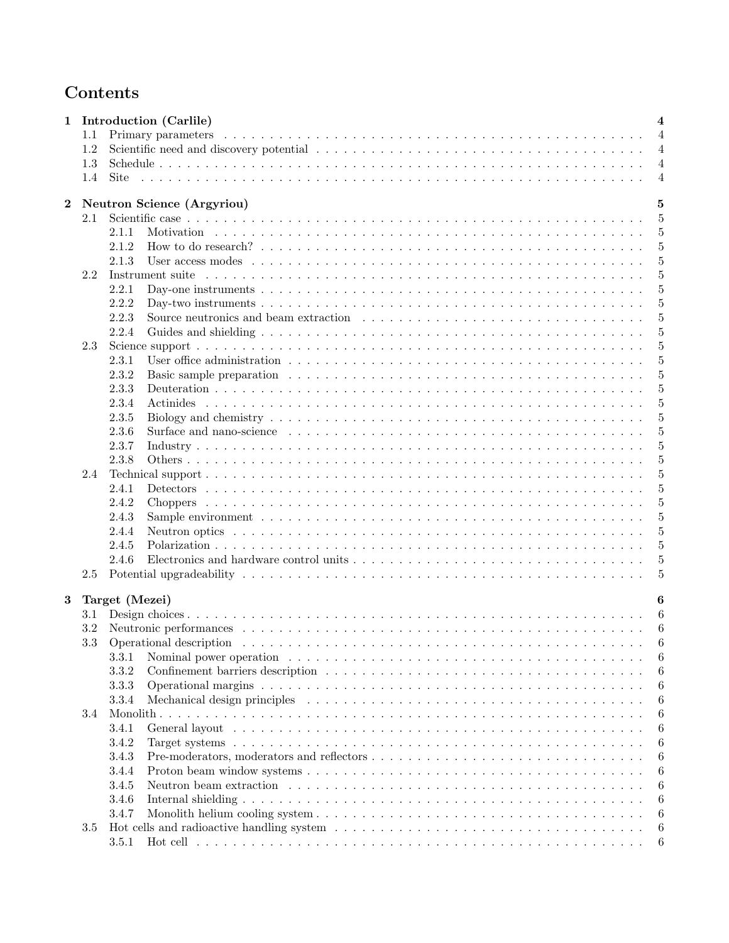### Contents

| 1        |                                   | Introduction (Carlile)                                                                                                                                                                                                        | $\overline{\mathbf{4}}$ |
|----------|-----------------------------------|-------------------------------------------------------------------------------------------------------------------------------------------------------------------------------------------------------------------------------|-------------------------|
|          | 1.1                               |                                                                                                                                                                                                                               | $\overline{4}$          |
|          | 1.2                               |                                                                                                                                                                                                                               | $\overline{4}$          |
|          | 1.3                               |                                                                                                                                                                                                                               | $\overline{4}$          |
|          | 1.4                               |                                                                                                                                                                                                                               | $\overline{4}$          |
|          |                                   |                                                                                                                                                                                                                               |                         |
| $\bf{2}$ | <b>Neutron Science (Argyriou)</b> | 5                                                                                                                                                                                                                             |                         |
| 2.1      |                                   |                                                                                                                                                                                                                               | $\overline{5}$          |
|          |                                   | 2.1.1                                                                                                                                                                                                                         | 5                       |
|          |                                   | 2.1.2                                                                                                                                                                                                                         | 5                       |
|          |                                   | 2.1.3                                                                                                                                                                                                                         | 5                       |
|          | 2.2                               | Instrument suite recovered to the contract of the contract of the contract of the contract of the contract of the contract of the contract of the contract of the contract of the contract of the contract of the contract of | 5                       |
|          |                                   | 2.2.1                                                                                                                                                                                                                         | 5                       |
|          |                                   | 2.2.2                                                                                                                                                                                                                         | 5                       |
|          |                                   | 2.2.3                                                                                                                                                                                                                         | $\overline{5}$          |
|          |                                   | 2.2.4                                                                                                                                                                                                                         | 5                       |
|          | 2.3                               |                                                                                                                                                                                                                               | 5                       |
|          |                                   | 2.3.1                                                                                                                                                                                                                         | 5                       |
|          |                                   | 2.3.2                                                                                                                                                                                                                         | 5                       |
|          |                                   | 2.3.3                                                                                                                                                                                                                         | 5                       |
|          |                                   | 2.3.4                                                                                                                                                                                                                         | 5                       |
|          |                                   | 2.3.5                                                                                                                                                                                                                         | 5                       |
|          |                                   | 2.3.6                                                                                                                                                                                                                         | 5                       |
|          |                                   | 2.3.7                                                                                                                                                                                                                         | 5                       |
|          |                                   | 2.3.8                                                                                                                                                                                                                         | 5                       |
|          | 2.4                               |                                                                                                                                                                                                                               | 5                       |
|          |                                   | 2.4.1                                                                                                                                                                                                                         | 5                       |
|          |                                   | 2.4.2                                                                                                                                                                                                                         | 5                       |
|          |                                   | 2.4.3                                                                                                                                                                                                                         | 5                       |
|          |                                   | 2.4.4                                                                                                                                                                                                                         | 5                       |
|          |                                   | 2.4.5                                                                                                                                                                                                                         | 5                       |
|          |                                   | 2.4.6                                                                                                                                                                                                                         | 5                       |
|          | 2.5                               |                                                                                                                                                                                                                               | 5                       |
|          |                                   |                                                                                                                                                                                                                               |                         |
| $\bf{3}$ |                                   | Target (Mezei)                                                                                                                                                                                                                | 6                       |
|          | 3.1                               |                                                                                                                                                                                                                               |                         |
|          | 3.2                               |                                                                                                                                                                                                                               |                         |
|          | 3.3                               |                                                                                                                                                                                                                               | 6                       |
|          |                                   | 3.3.1                                                                                                                                                                                                                         | 6                       |
|          |                                   | 3.3.2                                                                                                                                                                                                                         | 6                       |
|          |                                   | 3.3.3                                                                                                                                                                                                                         | 6                       |
|          |                                   | 3.3.4                                                                                                                                                                                                                         | 6                       |
|          | 3.4                               |                                                                                                                                                                                                                               | 6                       |
|          |                                   | 3.4.1                                                                                                                                                                                                                         | 6                       |
|          |                                   | 3.4.2                                                                                                                                                                                                                         | 6                       |
|          |                                   | 3.4.3                                                                                                                                                                                                                         | 6                       |
|          |                                   | 3.4.4                                                                                                                                                                                                                         | 6                       |
|          |                                   | 3.4.5                                                                                                                                                                                                                         | 6                       |
|          |                                   | 3.4.6                                                                                                                                                                                                                         | 6                       |
|          |                                   | 3.4.7                                                                                                                                                                                                                         | 6                       |
|          | 3.5                               |                                                                                                                                                                                                                               | 6                       |
|          |                                   | 3.5.1                                                                                                                                                                                                                         | 6                       |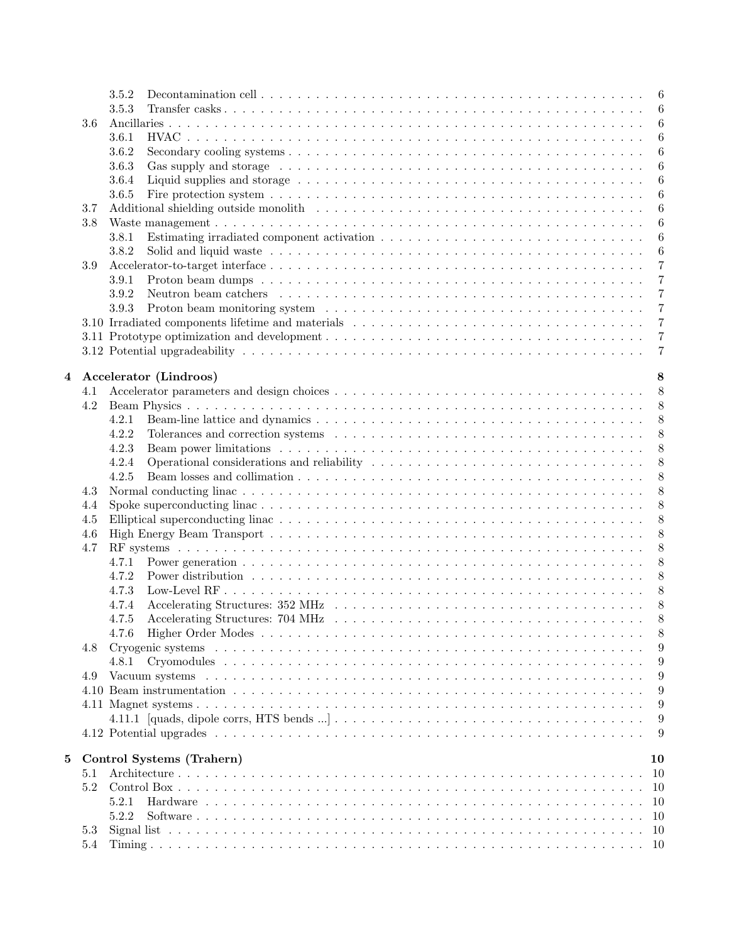|                |     | 3.5.2                                                                                                                              | 6               |
|----------------|-----|------------------------------------------------------------------------------------------------------------------------------------|-----------------|
|                |     | 3.5.3                                                                                                                              | 6               |
|                | 3.6 |                                                                                                                                    | 6               |
|                |     | 3.6.1                                                                                                                              | 6               |
|                |     | 3.6.2                                                                                                                              | $6\phantom{.}6$ |
|                |     | 3.6.3                                                                                                                              | 6               |
|                |     | 3.6.4                                                                                                                              | 6               |
|                |     | 3.6.5                                                                                                                              | 6               |
|                | 3.7 |                                                                                                                                    | 6               |
|                | 3.8 |                                                                                                                                    | 6               |
|                |     | Estimating irradiated component activation $\ldots \ldots \ldots \ldots \ldots \ldots \ldots \ldots \ldots \ldots \ldots$<br>3.8.1 | 6               |
|                |     | 3.8.2                                                                                                                              | 6               |
|                | 3.9 |                                                                                                                                    | $\overline{7}$  |
|                |     | 3.9.1                                                                                                                              | $\overline{7}$  |
|                |     | Neutron beam catchers $\dots \dots \dots \dots \dots \dots \dots \dots \dots \dots \dots \dots \dots \dots \dots \dots$<br>3.9.2   | $\overline{7}$  |
|                |     | 3.9.3                                                                                                                              | $\overline{7}$  |
|                |     |                                                                                                                                    | $\overline{7}$  |
|                |     |                                                                                                                                    | $\overline{7}$  |
|                |     |                                                                                                                                    | $\overline{7}$  |
|                |     |                                                                                                                                    |                 |
| $\overline{4}$ |     | Accelerator (Lindroos)                                                                                                             | 8               |
|                | 4.1 |                                                                                                                                    | 8               |
|                | 4.2 |                                                                                                                                    | 8               |
|                |     | 4.2.1                                                                                                                              | 8               |
|                |     | 4.2.2                                                                                                                              | 8               |
|                |     | 4.2.3                                                                                                                              | 8               |
|                |     | 4.2.4                                                                                                                              | 8               |
|                |     | 4.2.5                                                                                                                              | $8\,$           |
|                | 4.3 |                                                                                                                                    | 8               |
|                | 4.4 |                                                                                                                                    | 8               |
|                | 4.5 |                                                                                                                                    | 8               |
|                | 4.6 |                                                                                                                                    | $8\,$           |
|                | 4.7 |                                                                                                                                    | 8               |
|                |     | 4.7.1                                                                                                                              | 8               |
|                |     | 4.7.2                                                                                                                              | 8               |
|                |     | 4.7.3                                                                                                                              | 8               |
|                |     | 4.7.4                                                                                                                              | 8               |
|                |     |                                                                                                                                    | $\mathsf{R}$    |
|                |     | 4.7.6                                                                                                                              | 8               |
|                | 4.8 |                                                                                                                                    | 9               |
|                |     |                                                                                                                                    | 9               |
|                | 4.9 |                                                                                                                                    | 9               |
|                |     |                                                                                                                                    | 9               |
|                |     |                                                                                                                                    | 9               |
|                |     |                                                                                                                                    | 9               |
|                |     |                                                                                                                                    | 9               |
|                |     |                                                                                                                                    |                 |
| 5              |     | Control Systems (Trahern)                                                                                                          | 10              |
|                | 5.1 |                                                                                                                                    | -10             |
|                | 5.2 |                                                                                                                                    |                 |
|                |     | 5.2.1                                                                                                                              |                 |
|                |     | 5.2.2                                                                                                                              |                 |
|                | 5.3 |                                                                                                                                    |                 |
|                | 5.4 |                                                                                                                                    |                 |
|                |     |                                                                                                                                    |                 |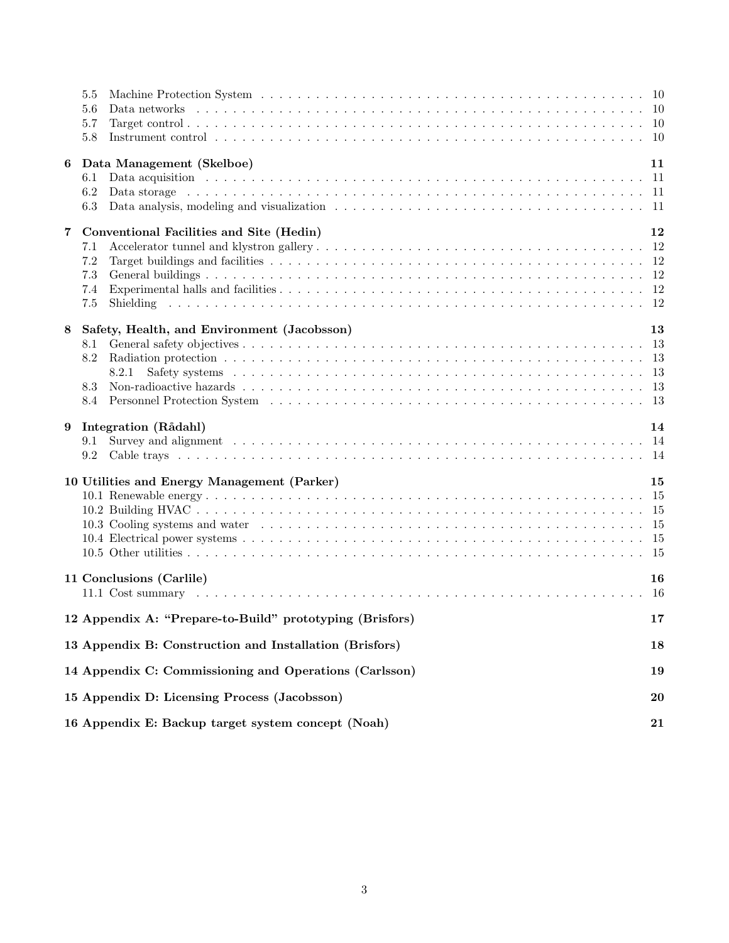|                              | 5.5<br>Data networks<br>5.6<br>5.7<br>5.8                                                                                                                                                                                                                                                                                                                           |                  |  |  |  |  |  |
|------------------------------|---------------------------------------------------------------------------------------------------------------------------------------------------------------------------------------------------------------------------------------------------------------------------------------------------------------------------------------------------------------------|------------------|--|--|--|--|--|
| 6<br>$\overline{\mathbf{7}}$ | Data Management (Skelboe)<br>Data acquisition in the contract of the contract of the contract of the contract of the contract of the contract of the contract of the contract of the contract of the contract of the contract of the contract of the contra<br>6.1<br>6.2<br>6.3<br>Conventional Facilities and Site (Hedin)<br>7.1<br>$7.2\,$<br>7.3<br>7.4<br>7.5 | 11<br>12         |  |  |  |  |  |
| 8                            | Safety, Health, and Environment (Jacobsson)<br>8.1<br>8.2<br>8.2.1<br>8.3<br>8.4                                                                                                                                                                                                                                                                                    | 13<br>-13<br>-13 |  |  |  |  |  |
| 9                            | Integration (Rådahl)<br>9.1<br>9.2                                                                                                                                                                                                                                                                                                                                  | 14               |  |  |  |  |  |
|                              | 10 Utilities and Energy Management (Parker)                                                                                                                                                                                                                                                                                                                         | 15               |  |  |  |  |  |
|                              | 11 Conclusions (Carlile)                                                                                                                                                                                                                                                                                                                                            | 16<br>16         |  |  |  |  |  |
|                              | 12 Appendix A: "Prepare-to-Build" prototyping (Brisfors)<br>17                                                                                                                                                                                                                                                                                                      |                  |  |  |  |  |  |
|                              | 13 Appendix B: Construction and Installation (Brisfors)<br>18                                                                                                                                                                                                                                                                                                       |                  |  |  |  |  |  |
|                              | 14 Appendix C: Commissioning and Operations (Carlsson)<br>19                                                                                                                                                                                                                                                                                                        |                  |  |  |  |  |  |
|                              | 15 Appendix D: Licensing Process (Jacobsson)                                                                                                                                                                                                                                                                                                                        |                  |  |  |  |  |  |
|                              | 16 Appendix E: Backup target system concept (Noah)                                                                                                                                                                                                                                                                                                                  |                  |  |  |  |  |  |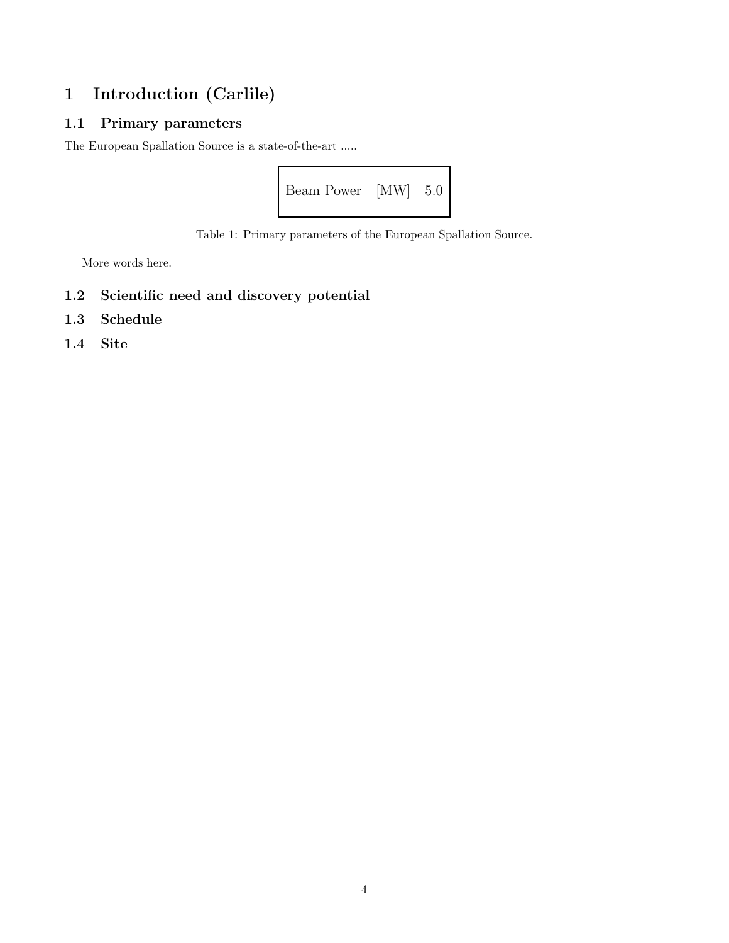### 1 Introduction (Carlile)

#### 1.1 Primary parameters

The European Spallation Source is a state-of-the-art .....



Table 1: Primary parameters of the European Spallation Source.

More words here.

- 1.2 Scientific need and discovery potential
- 1.3 Schedule
- 1.4 Site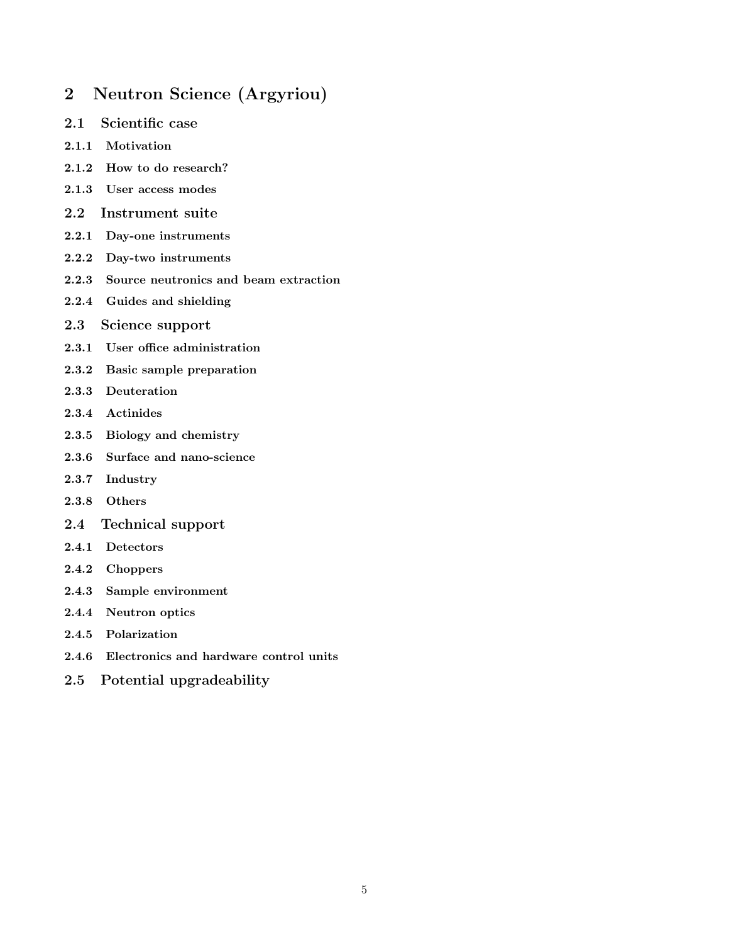### 2 Neutron Science (Argyriou)

- 2.1 Scientific case
- 2.1.1 Motivation
- 2.1.2 How to do research?
- 2.1.3 User access modes
- 2.2 Instrument suite
- 2.2.1 Day-one instruments
- 2.2.2 Day-two instruments
- 2.2.3 Source neutronics and beam extraction
- 2.2.4 Guides and shielding
- 2.3 Science support
- 2.3.1 User office administration
- 2.3.2 Basic sample preparation
- 2.3.3 Deuteration
- 2.3.4 Actinides
- 2.3.5 Biology and chemistry
- 2.3.6 Surface and nano-science
- 2.3.7 Industry
- 2.3.8 Others
- 2.4 Technical support
- 2.4.1 Detectors
- 2.4.2 Choppers
- 2.4.3 Sample environment
- 2.4.4 Neutron optics
- 2.4.5 Polarization
- 2.4.6 Electronics and hardware control units
- 2.5 Potential upgradeability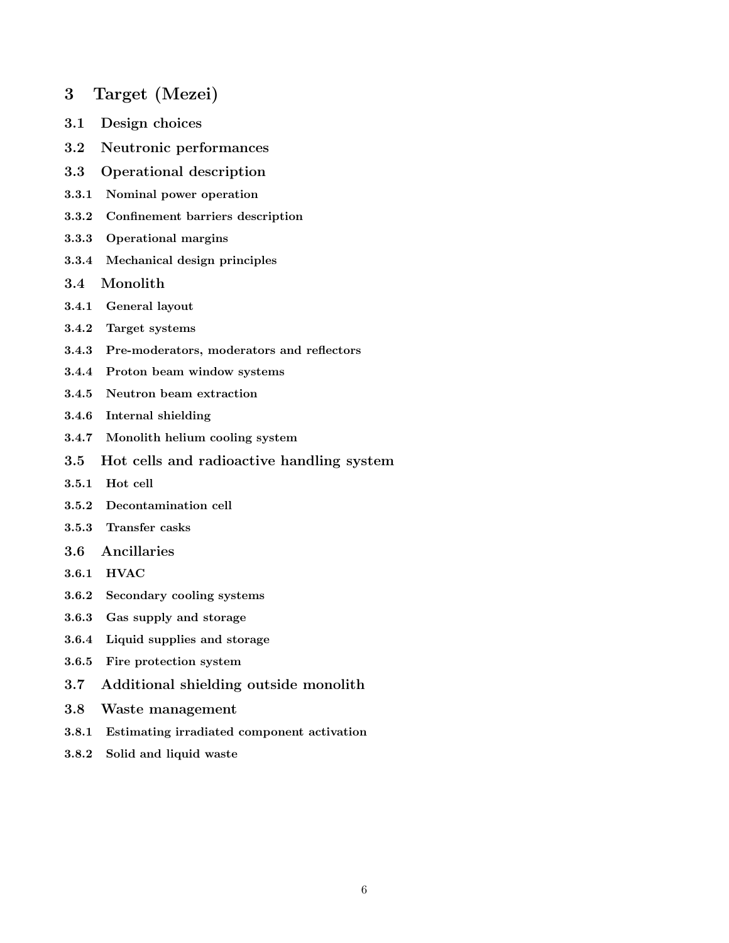- 3 Target (Mezei)
- 3.1 Design choices
- 3.2 Neutronic performances
- 3.3 Operational description
- 3.3.1 Nominal power operation
- 3.3.2 Confinement barriers description
- 3.3.3 Operational margins
- 3.3.4 Mechanical design principles
- 3.4 Monolith
- 3.4.1 General layout
- 3.4.2 Target systems
- 3.4.3 Pre-moderators, moderators and reflectors
- 3.4.4 Proton beam window systems
- 3.4.5 Neutron beam extraction
- 3.4.6 Internal shielding
- 3.4.7 Monolith helium cooling system
- 3.5 Hot cells and radioactive handling system
- 3.5.1 Hot cell
- 3.5.2 Decontamination cell
- 3.5.3 Transfer casks
- 3.6 Ancillaries
- 3.6.1 HVAC
- 3.6.2 Secondary cooling systems
- 3.6.3 Gas supply and storage
- 3.6.4 Liquid supplies and storage
- 3.6.5 Fire protection system
- 3.7 Additional shielding outside monolith
- 3.8 Waste management
- 3.8.1 Estimating irradiated component activation
- 3.8.2 Solid and liquid waste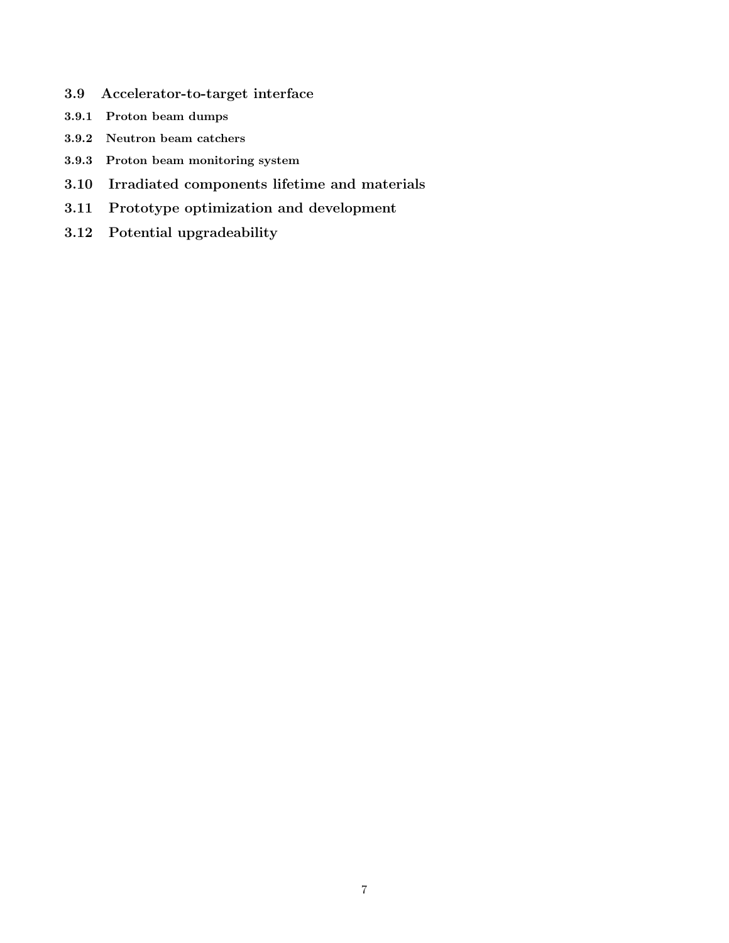- 3.9 Accelerator-to-target interface
- 3.9.1 Proton beam dumps
- 3.9.2 Neutron beam catchers
- 3.9.3 Proton beam monitoring system
- 3.10 Irradiated components lifetime and materials
- 3.11 Prototype optimization and development
- 3.12 Potential upgradeability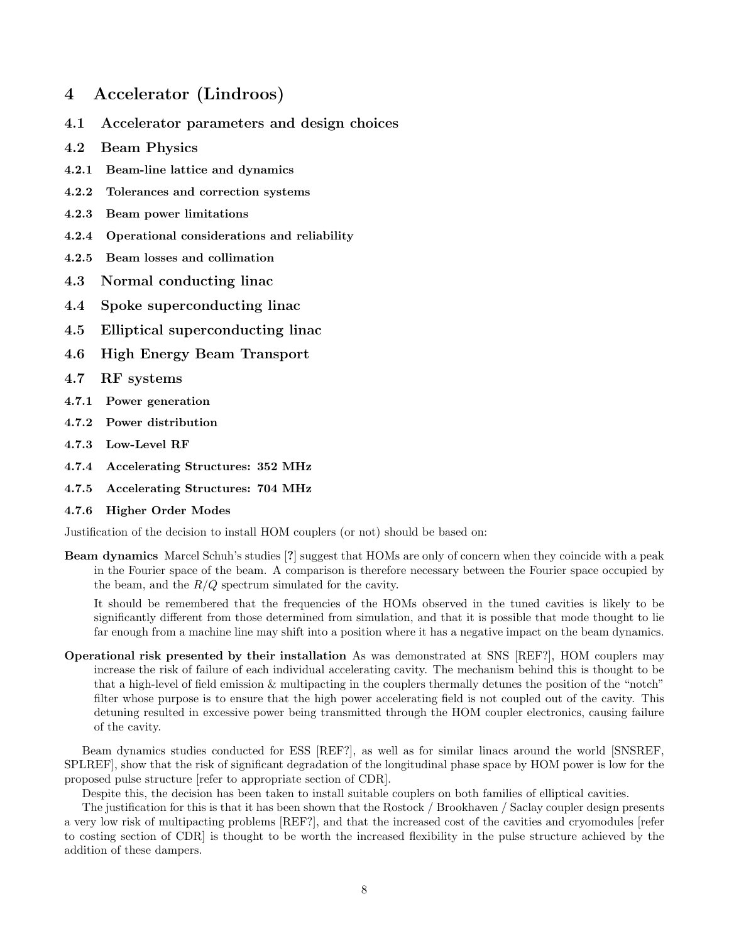#### 4 Accelerator (Lindroos)

- 4.1 Accelerator parameters and design choices
- 4.2 Beam Physics
- 4.2.1 Beam-line lattice and dynamics
- 4.2.2 Tolerances and correction systems
- 4.2.3 Beam power limitations
- 4.2.4 Operational considerations and reliability
- 4.2.5 Beam losses and collimation
- 4.3 Normal conducting linac
- 4.4 Spoke superconducting linac
- 4.5 Elliptical superconducting linac
- 4.6 High Energy Beam Transport
- 4.7 RF systems
- 4.7.1 Power generation
- 4.7.2 Power distribution
- 4.7.3 Low-Level RF
- 4.7.4 Accelerating Structures: 352 MHz
- 4.7.5 Accelerating Structures: 704 MHz
- 4.7.6 Higher Order Modes

Justification of the decision to install HOM couplers (or not) should be based on:

Beam dynamics Marcel Schuh's studies [?] suggest that HOMs are only of concern when they coincide with a peak in the Fourier space of the beam. A comparison is therefore necessary between the Fourier space occupied by the beam, and the  $R/Q$  spectrum simulated for the cavity.

It should be remembered that the frequencies of the HOMs observed in the tuned cavities is likely to be significantly different from those determined from simulation, and that it is possible that mode thought to lie far enough from a machine line may shift into a position where it has a negative impact on the beam dynamics.

Operational risk presented by their installation As was demonstrated at SNS [REF?], HOM couplers may increase the risk of failure of each individual accelerating cavity. The mechanism behind this is thought to be that a high-level of field emission & multipacting in the couplers thermally detunes the position of the "notch" filter whose purpose is to ensure that the high power accelerating field is not coupled out of the cavity. This detuning resulted in excessive power being transmitted through the HOM coupler electronics, causing failure of the cavity.

Beam dynamics studies conducted for ESS [REF?], as well as for similar linacs around the world [SNSREF, SPLREF], show that the risk of significant degradation of the longitudinal phase space by HOM power is low for the proposed pulse structure [refer to appropriate section of CDR].

Despite this, the decision has been taken to install suitable couplers on both families of elliptical cavities.

The justification for this is that it has been shown that the Rostock / Brookhaven / Saclay coupler design presents a very low risk of multipacting problems [REF?], and that the increased cost of the cavities and cryomodules [refer to costing section of CDR] is thought to be worth the increased flexibility in the pulse structure achieved by the addition of these dampers.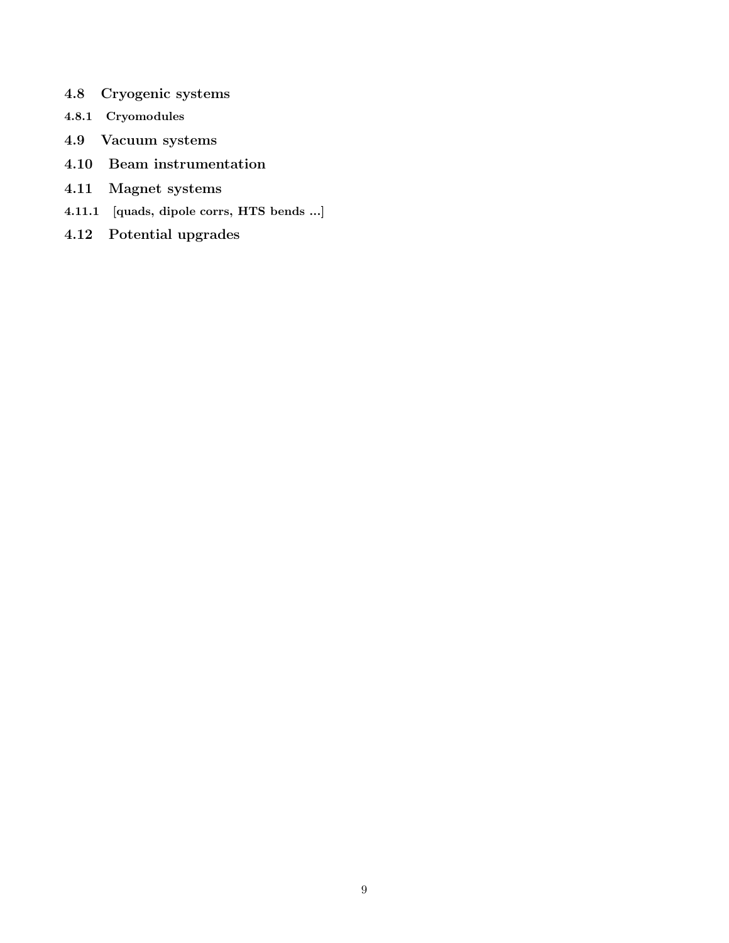- 4.8 Cryogenic systems
- 4.8.1 Cryomodules
- 4.9 Vacuum systems
- 4.10 Beam instrumentation
- 4.11 Magnet systems
- 4.11.1 [quads, dipole corrs, HTS bends ...]
- 4.12 Potential upgrades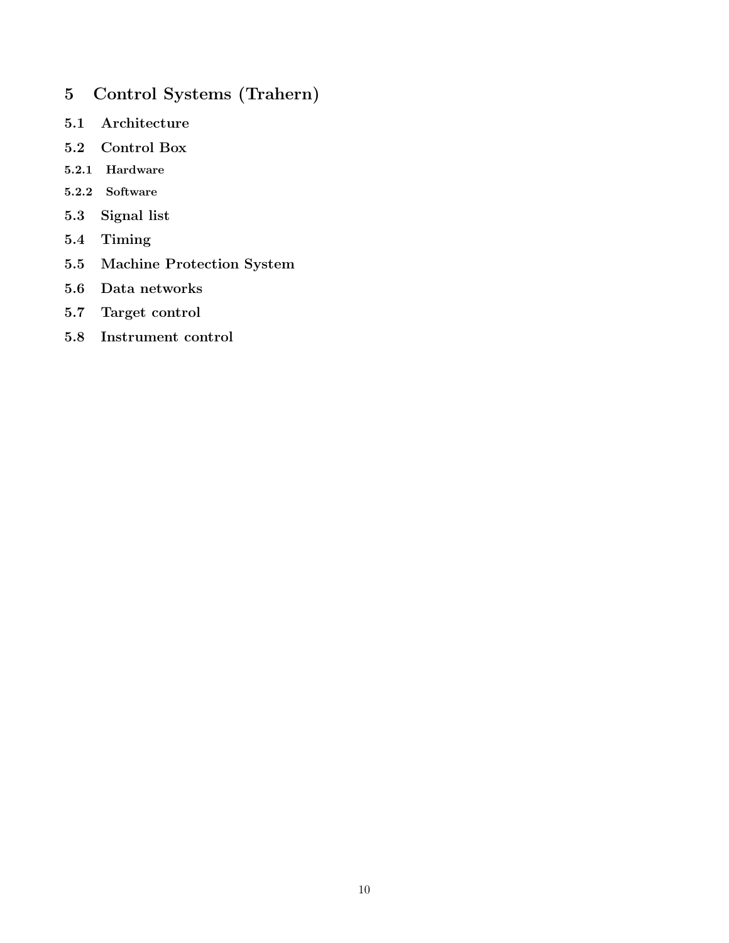- 5 Control Systems (Trahern)
- 5.1 Architecture
- 5.2 Control Box
- 5.2.1 Hardware
- 5.2.2 Software
- 5.3 Signal list
- 5.4 Timing
- 5.5 Machine Protection System
- 5.6 Data networks
- 5.7 Target control
- 5.8 Instrument control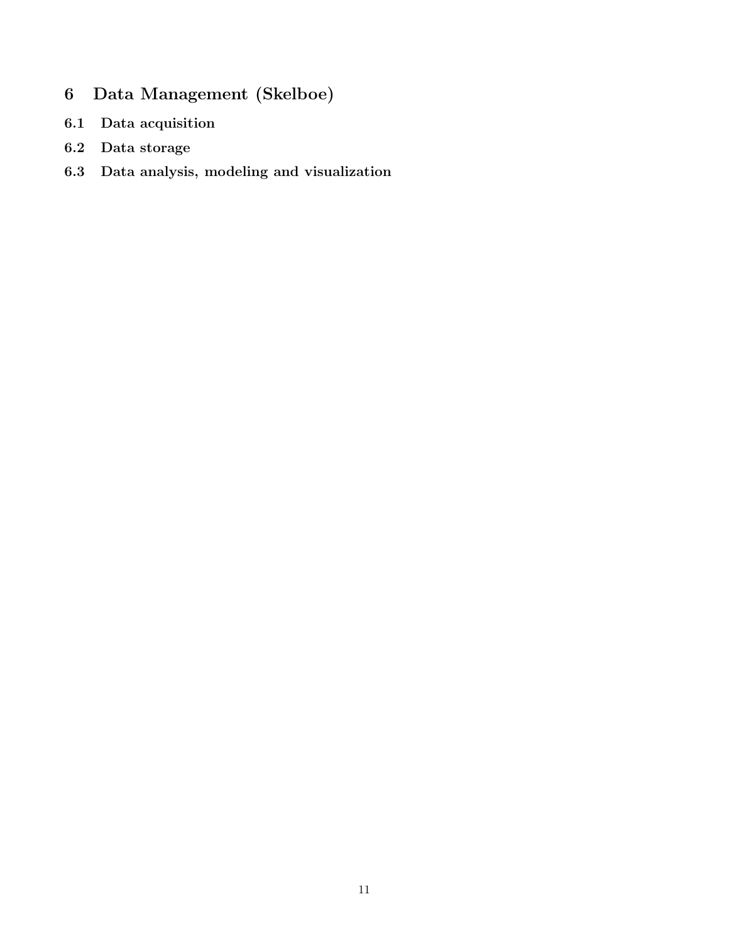- 6 Data Management (Skelboe)
- 6.1 Data acquisition
- 6.2 Data storage
- 6.3 Data analysis, modeling and visualization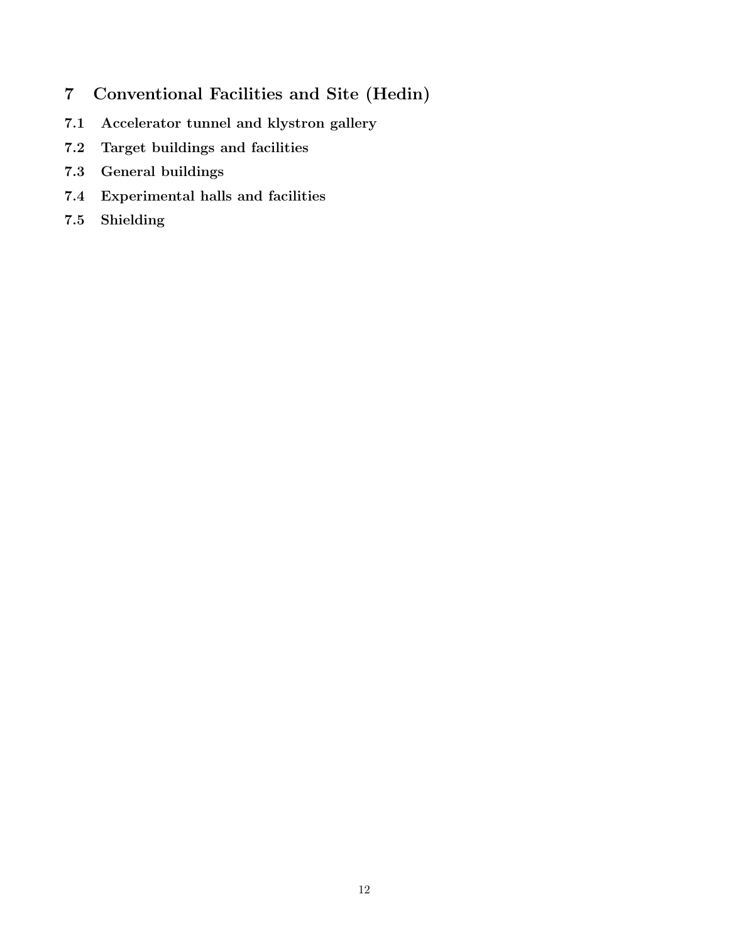- 7 Conventional Facilities and Site (Hedin)
- 7.1 Accelerator tunnel and klystron gallery
- 7.2 Target buildings and facilities
- 7.3 General buildings
- 7.4 Experimental halls and facilities
- 7.5 Shielding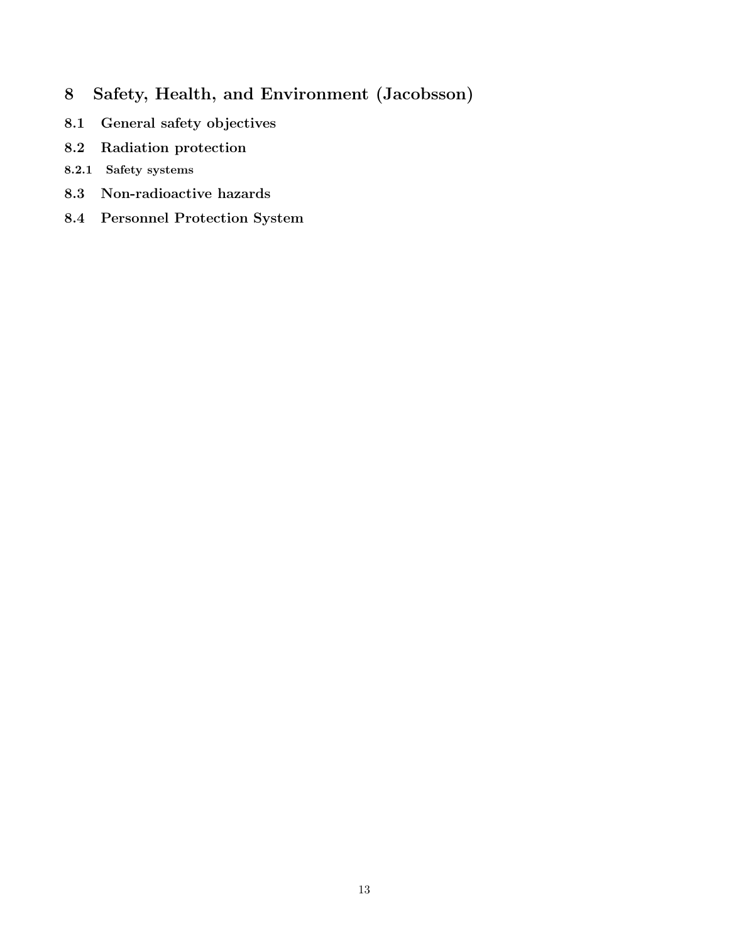- 8 Safety, Health, and Environment (Jacobsson)
- 8.1 General safety objectives
- 8.2 Radiation protection
- 8.2.1 Safety systems
- 8.3 Non-radioactive hazards
- 8.4 Personnel Protection System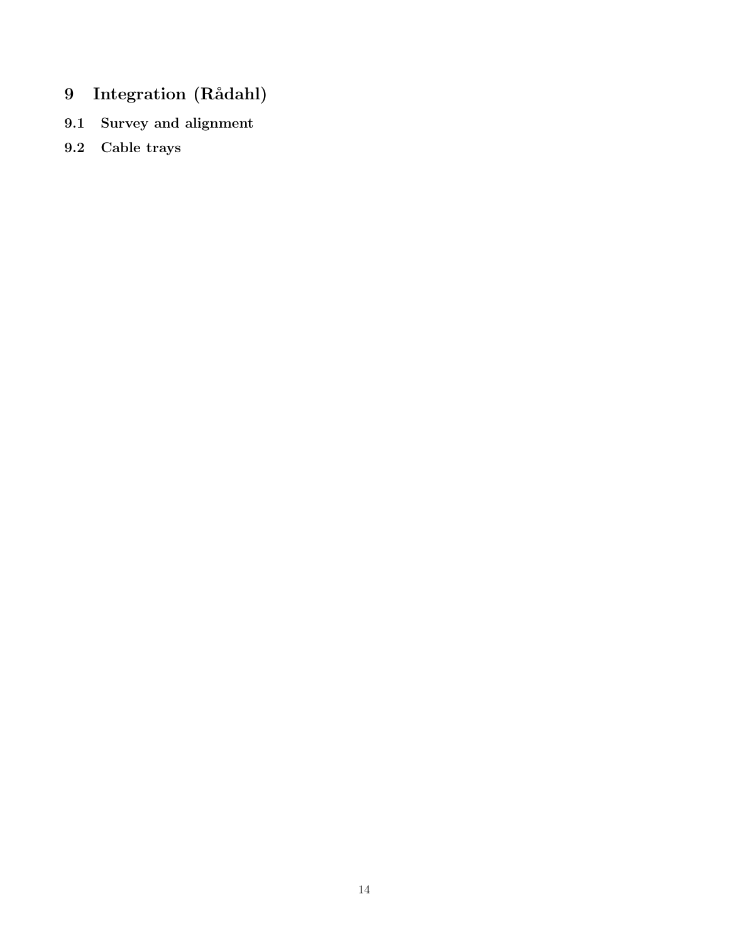- 9 Integration (Rådahl)
- 9.1 Survey and alignment
- 9.2 Cable trays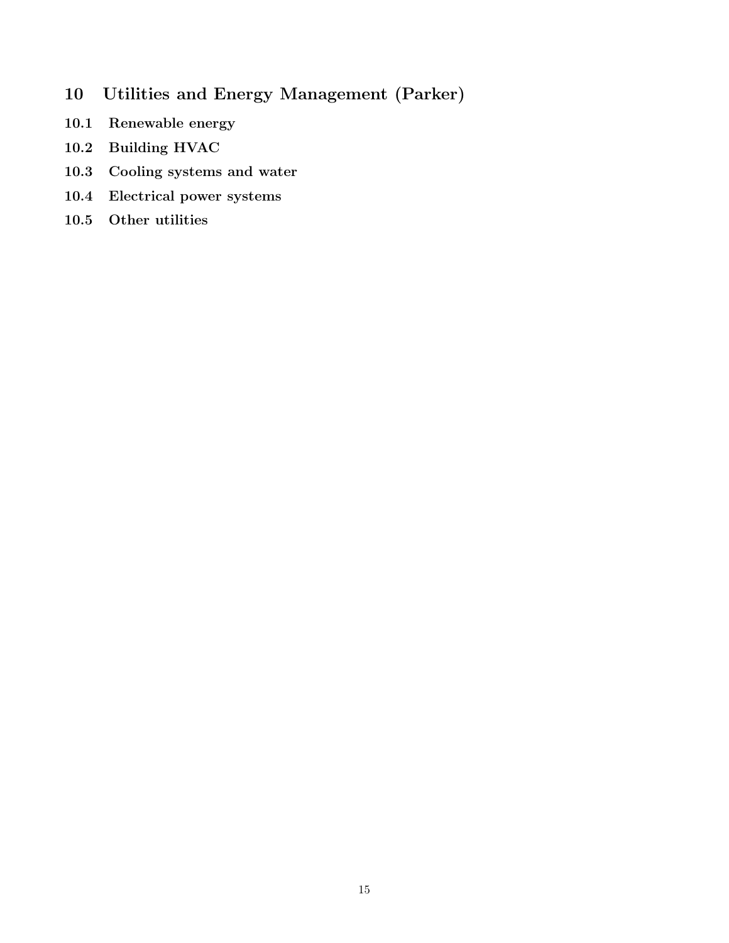- 10 Utilities and Energy Management (Parker)
- 10.1 Renewable energy
- 10.2 Building HVAC
- 10.3 Cooling systems and water
- 10.4 Electrical power systems
- 10.5 Other utilities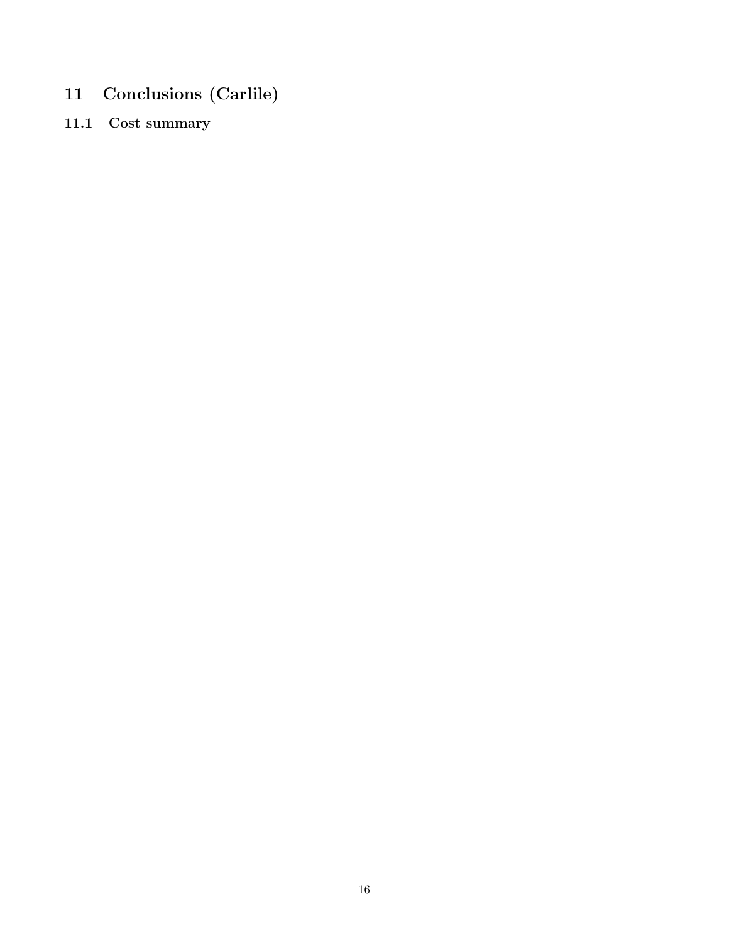- 11 Conclusions (Carlile)
- 11.1 Cost summary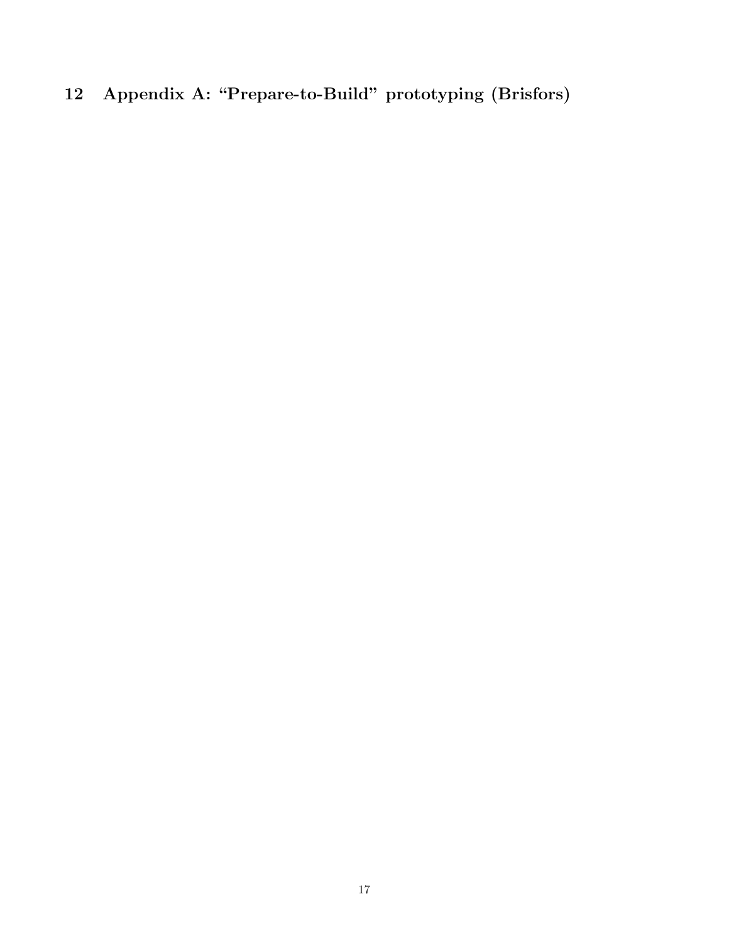# 12 Appendix A: "Prepare-to-Build" prototyping (Brisfors)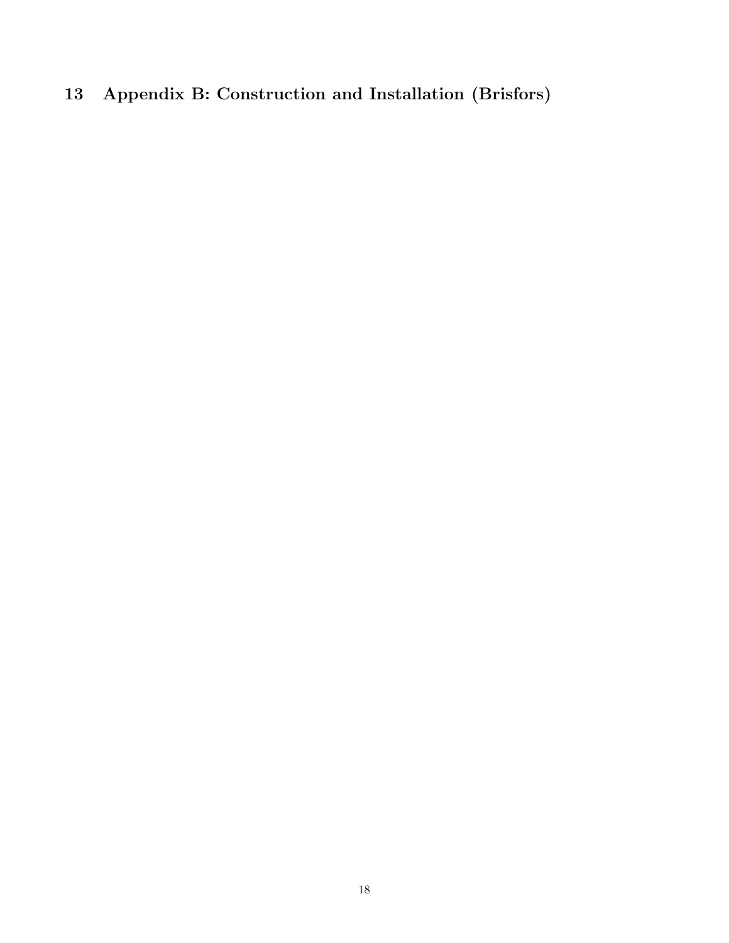### 13 Appendix B: Construction and Installation (Brisfors)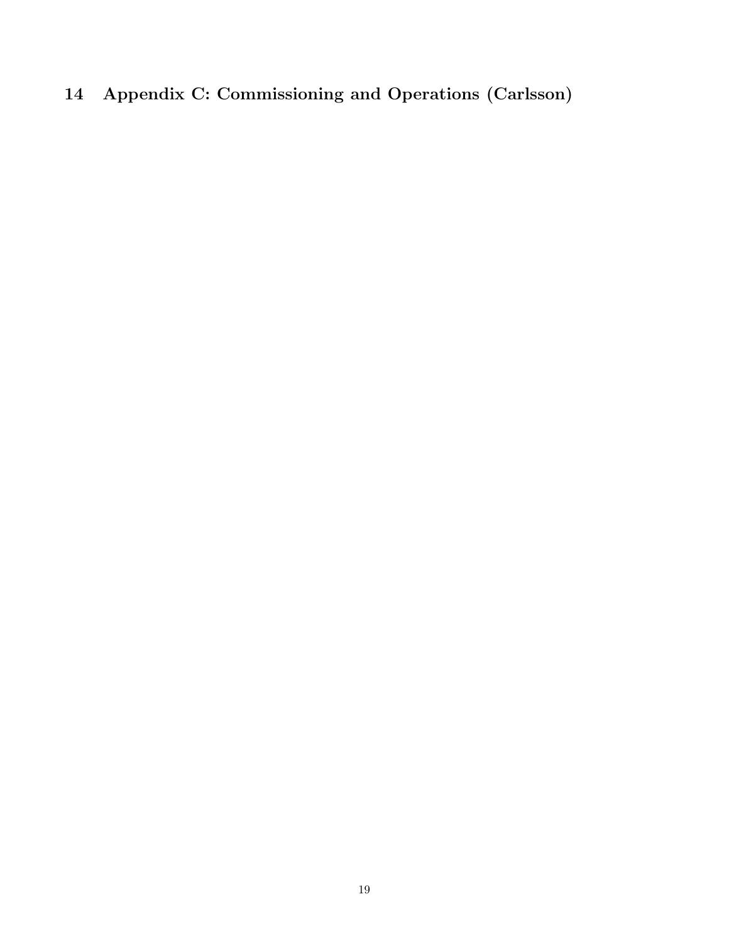# 14 Appendix C: Commissioning and Operations (Carlsson)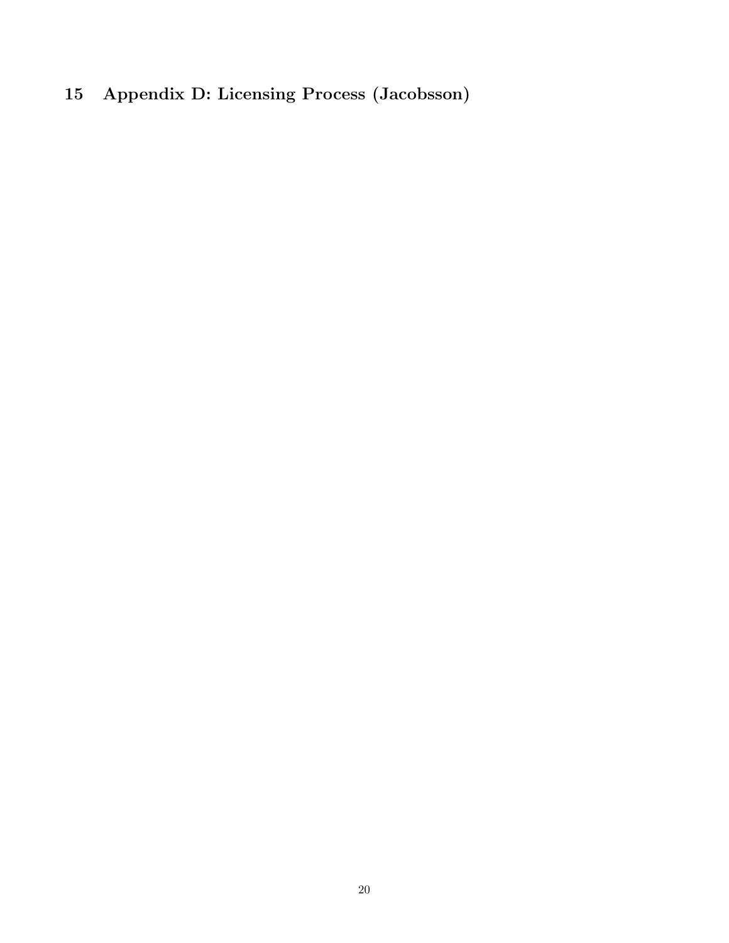# 15 Appendix D: Licensing Process (Jacobsson)